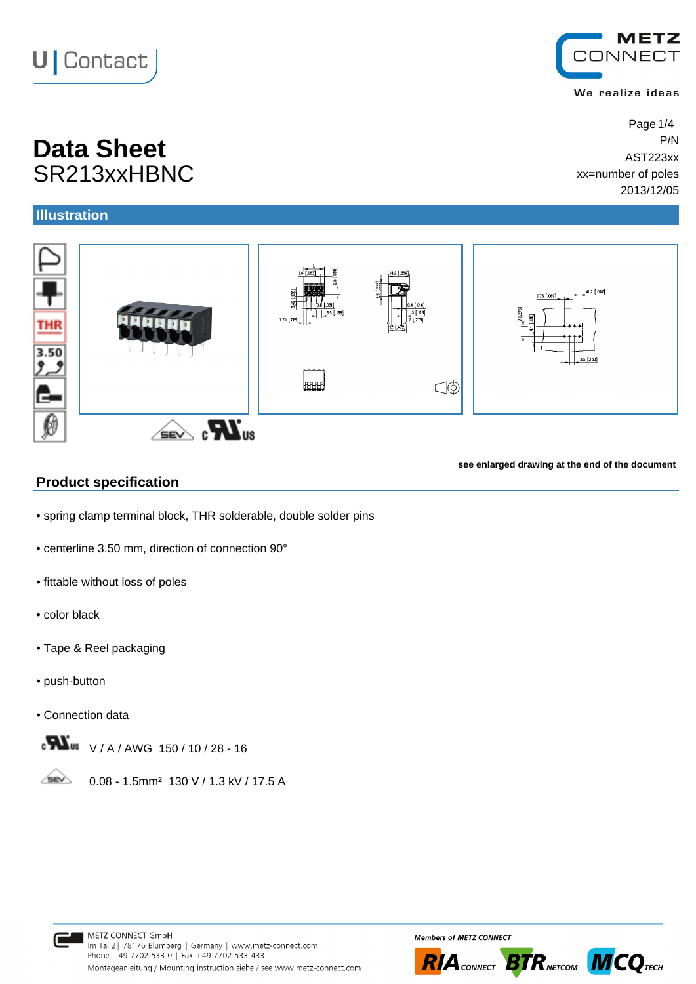# **U** Contact

## **Data Sheet** P/N SR213xxHBNC

### **Illustration**



**see enlarged drawing at the end of the document**

#### **Product specification**

- spring clamp terminal block, THR solderable, double solder pins
- centerline 3.50 mm, direction of connection 90°
- fittable without loss of poles
- color black
- Tape & Reel packaging
- push-button
- Connection data



**SEV** 0.08 - 1.5mm² 130 V / 1.3 kV / 17.5 A









#### We realize ideas

Page 1/4 AST223xx xx=number of poles 2013/12/05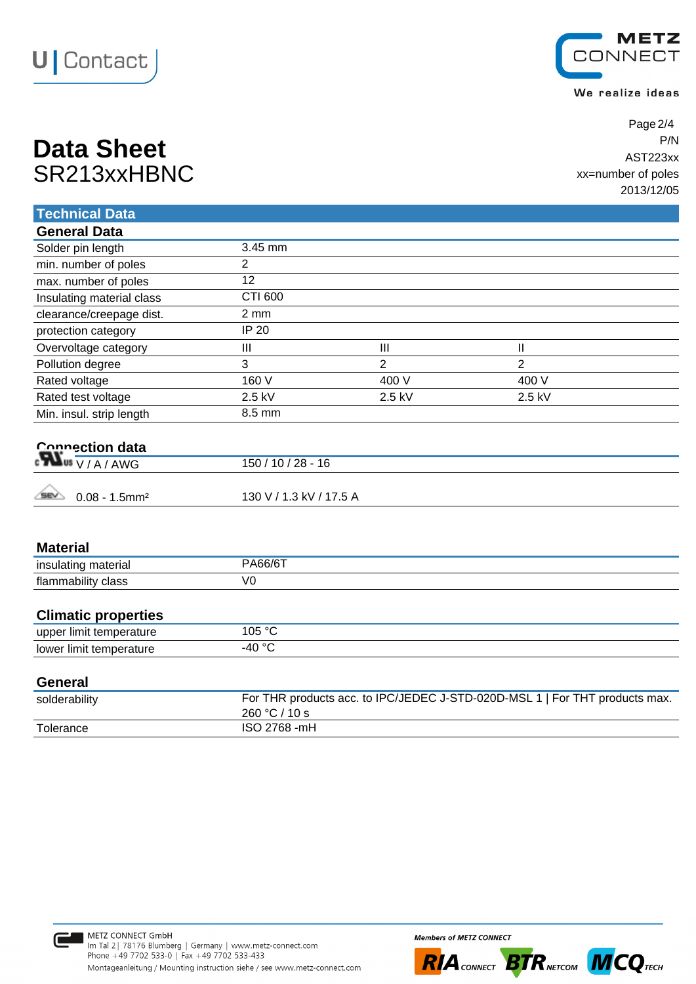



We realize ideas

| <b>Data Sheet</b> | P/N                |
|-------------------|--------------------|
|                   | AST223xx           |
| SR213xxHBNC       | xx=number of poles |
|                   | $0.04214000$       |

Page 2/4 AST223xx xx=number of poles 2013/12/05

| <b>Technical Data</b>                                |                         |                |                                                                           |  |
|------------------------------------------------------|-------------------------|----------------|---------------------------------------------------------------------------|--|
| <b>General Data</b>                                  |                         |                |                                                                           |  |
| Solder pin length                                    | 3.45 mm                 |                |                                                                           |  |
| min. number of poles                                 | 2                       |                |                                                                           |  |
| max. number of poles                                 | 12                      |                |                                                                           |  |
| Insulating material class                            | CTI 600                 |                |                                                                           |  |
| clearance/creepage dist.                             | $2 \, \text{mm}$        |                |                                                                           |  |
| protection category                                  | <b>IP 20</b>            |                |                                                                           |  |
| Overvoltage category                                 | III                     | III            | $\mathsf{I}$                                                              |  |
| Pollution degree                                     | 3                       | $\overline{2}$ | $\overline{2}$                                                            |  |
| Rated voltage                                        | 160 V                   | 400 V          | 400 V                                                                     |  |
| Rated test voltage                                   | 2.5 kV                  | 2.5 kV         | 2.5 kV                                                                    |  |
| Min. insul. strip length                             | 8.5 mm                  |                |                                                                           |  |
| Connection data<br>$\sum_{\alpha}$ Us $\sqrt{A/AWG}$ | $150/10/28 - 16$        |                |                                                                           |  |
| <b>SEV</b><br>$0.08 - 1.5$ mm <sup>2</sup>           | 130 V / 1.3 kV / 17.5 A |                |                                                                           |  |
| <b>Material</b>                                      |                         |                |                                                                           |  |
| insulating material                                  | <b>PA66/6T</b>          |                |                                                                           |  |
| flammability class                                   | V <sub>0</sub>          |                |                                                                           |  |
| <b>Climatic properties</b>                           |                         |                |                                                                           |  |
| upper limit temperature                              | 105 °C                  |                |                                                                           |  |
| lower limit temperature                              | $-40 °C$                |                |                                                                           |  |
| <b>General</b>                                       |                         |                |                                                                           |  |
| soldarability                                        |                         |                | For THR products acc. to IPC/JEDEC J-STD-020D-MSL 1 LEOR THT products max |  |

| For THR products acc. to IPC/JEDEC J-STD-020D-MSL 1   For THT products max. |
|-----------------------------------------------------------------------------|
| 260 °C / 10 s                                                               |
| ISO 2768 -mH                                                                |
|                                                                             |





**RIA** CONNECT **BTR** NETCOM **MCQ** TECH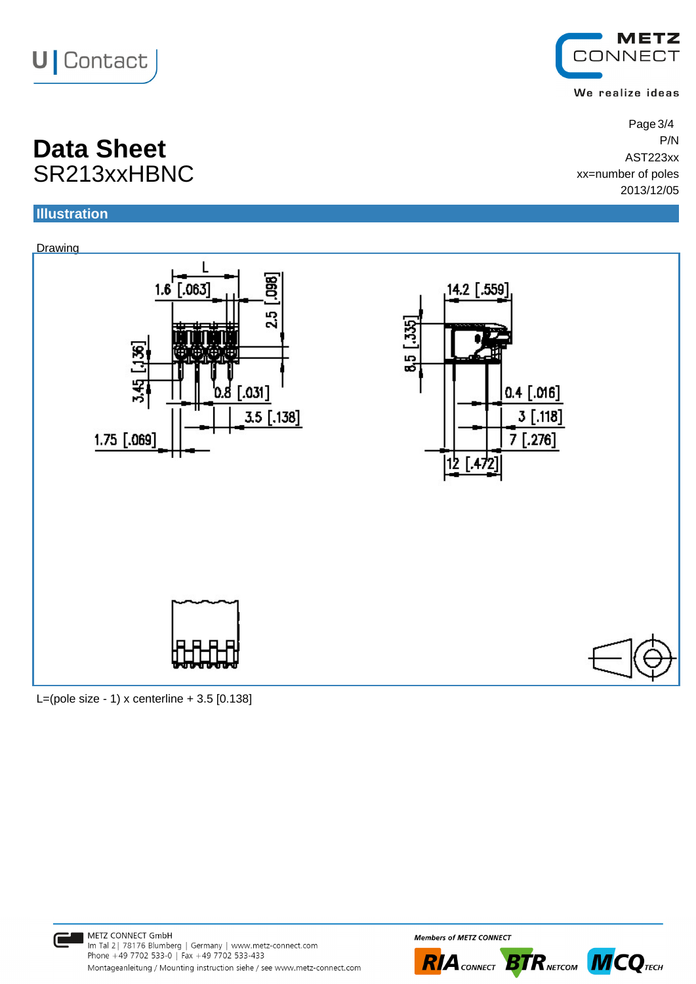



We realize ideas

Page 3/4 AST223xx xx=number of poles 2013/12/05

### **Data Sheet** P/N SR213xxHBNC

#### **Illustration**



L=(pole size - 1) x centerline  $+ 3.5$  [0.138]



**Members of METZ CONNECT**